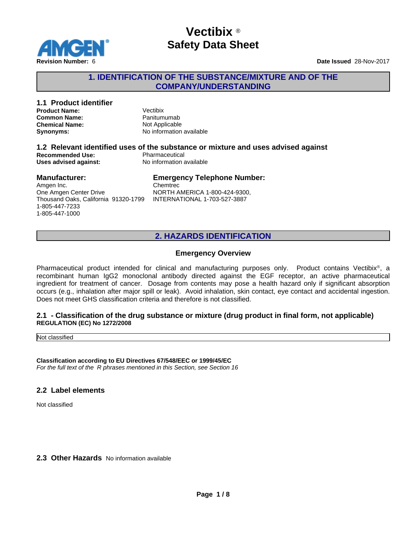

#### **1. IDENTIFICATION OF THE SUBSTANCE/MIXTURE AND OF THE COMPANY/UNDERSTANDING**

## **1.1 Product identifier**

**Product Name:** Vectibix **Common Name:** Panitumumab<br> **Chemical Name:** Not Applicable **Chemical Name:** 

**Synonyms:** No information available

### **1.2 Relevant identified uses of the substance or mixture and uses advised against Recommended Use:**<br> **Uses advised against:**<br> **No information available Uses advised against:**

#### **Manufacturer:**

### **Emergency Telephone Number:**

Amgen Inc. One Amgen Center Drive Thousand Oaks, California 91320-1799 1-805-447-7233 1-805-447-1000

Chemtrec NORTH AMERICA 1-800-424-9300, INTERNATIONAL 1-703-527-3887

### **2. HAZARDS IDENTIFICATION**

#### **Emergency Overview**

Pharmaceutical product intended for clinical and manufacturing purposes only. Product contains Vectibix<sup>®</sup>, a recombinant human IgG2 monoclonal antibody directed against the EGF receptor, an active pharmaceutical ingredient for treatment of cancer. Dosage from contents may pose a health hazard only if significant absorption occurs (e.g., inhalation after major spill or leak). Avoid inhalation, skin contact, eye contact and accidental ingestion. Does not meet GHS classification criteria and therefore is not classified.

#### **2.1 - Classification of the drug substance or mixture (drug product in final form, not applicable) REGULATION (EC) No 1272/2008**

Not classified

**Classification according to EU Directives 67/548/EEC or 1999/45/EC** *For the full text of the R phrases mentioned in this Section, see Section 16*

#### **2.2 Label elements**

Not classified

#### **2.3 Other Hazards** No information available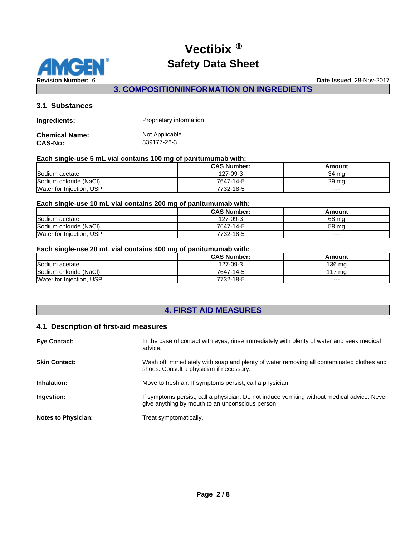

**3. COMPOSITION/INFORMATION ON INGREDIENTS**

#### **3.1 Substances**

| <b>Ingredients:</b> | Proprietary information |
|---------------------|-------------------------|
| Chemical Name:      | Not Applicable          |
| CAS-No:             | 339177-26-3             |

#### **Each single-use 5 mL vial contains 100 mg of panitumumab with:**

|                          | <b>CAS Number:</b> | Amount |
|--------------------------|--------------------|--------|
| Sodium acetate           | 127-09-3           | 34 ma  |
| Sodium chloride (NaCl)   | 7647-14-5          | 29 ma  |
| Water for Injection, USP | 7732-18-5          | $---$  |

#### **Each single-use 10 mL vial contains 200 mg of panitumumab with:**

|                          | <b>CAS Number:</b> | Amount |
|--------------------------|--------------------|--------|
| Sodium acetate           | 127-09-3           | 68 mg  |
| Sodium chloride (NaCl)   | 7647-14-5          | 58 mg  |
| Water for Injection, USP | 7732-18-5          | $---$  |

#### **Each single-use 20 mL vial contains 400 mg of panitumumab with:**

|                          | <b>CAS Number:</b> | Amount  |
|--------------------------|--------------------|---------|
| Sodium acetate           | 127-09-3           | 136 ma  |
| Sodium chloride (NaCl)   | 7647-14-5          | l 17 ma |
| Water for Injection, USP | 7732-18-5          | $--$    |

## **4. FIRST AID MEASURES**

#### **4.1 Description of first-aid measures**

| <b>Eve Contact:</b>        | In the case of contact with eyes, rinse immediately with plenty of water and seek medical<br>advice.                                            |
|----------------------------|-------------------------------------------------------------------------------------------------------------------------------------------------|
| <b>Skin Contact:</b>       | Wash off immediately with soap and plenty of water removing all contaminated clothes and<br>shoes. Consult a physician if necessary.            |
| Inhalation:                | Move to fresh air. If symptoms persist, call a physician.                                                                                       |
| Ingestion:                 | If symptoms persist, call a physician. Do not induce vomiting without medical advice. Never<br>give anything by mouth to an unconscious person. |
| <b>Notes to Physician:</b> | Treat symptomatically.                                                                                                                          |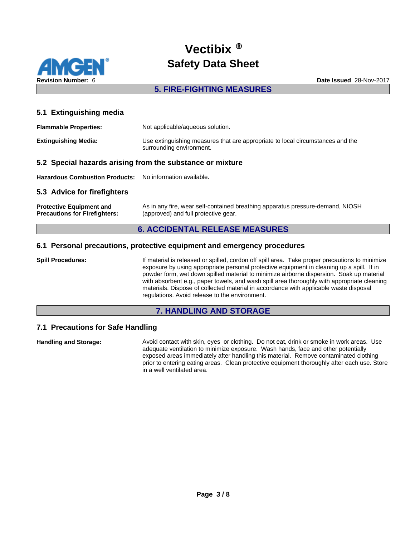

#### **5. FIRE-FIGHTING MEASURES**

#### **5.1 Extinguishing media**

| <b>Flammable Properties:</b> | Not applicable/aqueous solution.                                                                           |
|------------------------------|------------------------------------------------------------------------------------------------------------|
| <b>Extinguishing Media:</b>  | Use extinguishing measures that are appropriate to local circumstances and the<br>surrounding environment. |

#### **5.2 Special hazards arising from the substance or mixture**

**Hazardous Combustion Products:** No information available.

#### **5.3 Advice for firefighters**

**Protective Equipment and Precautions for Firefighters:** As in any fire, wear self-contained breathing apparatus pressure-demand, NIOSH (approved) and full protective gear.

#### **6. ACCIDENTAL RELEASE MEASURES**

#### **6.1 Personal precautions, protective equipment and emergency procedures**

**Spill Procedures:** If material is released or spilled, cordon off spill area. Take proper precautions to minimize exposure by using appropriate personal protective equipment in cleaning up a spill. If in powder form, wet down spilled material to minimize airborne dispersion. Soak up material with absorbent e.g., paper towels, and wash spill area thoroughly with appropriate cleaning materials. Dispose of collected material in accordance with applicable waste disposal regulations. Avoid release to the environment.

#### **7. HANDLING AND STORAGE**

#### **7.1 Precautions for Safe Handling**

**Handling and Storage:** Avoid contact with skin, eyes or clothing. Do not eat, drink or smoke in work areas. Use adequate ventilation to minimize exposure. Wash hands, face and other potentially exposed areas immediately after handling this material. Remove contaminated clothing prior to entering eating areas. Clean protective equipment thoroughly after each use. Store in a well ventilated area.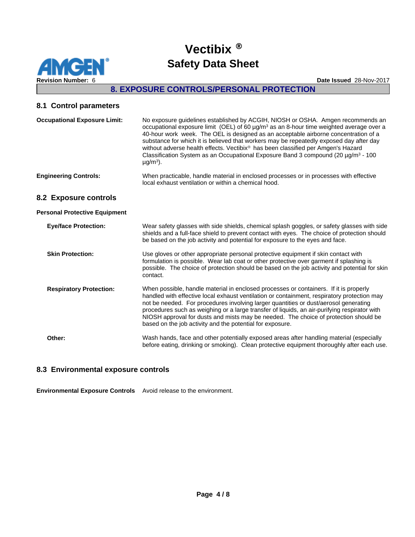

### **8. EXPOSURE CONTROLS/PERSONAL PROTECTION**

#### **8.1 Control parameters**

| <b>Occupational Exposure Limit:</b>  | No exposure guidelines established by ACGIH, NIOSH or OSHA. Amgen recommends an<br>occupational exposure limit (OEL) of 60 $\mu$ g/m <sup>3</sup> as an 8-hour time weighted average over a<br>40-hour work week. The OEL is designed as an acceptable airborne concentration of a<br>substance for which it is believed that workers may be repeatedly exposed day after day<br>without adverse health effects. Vectibix® has been classified per Amgen's Hazard<br>Classification System as an Occupational Exposure Band 3 compound (20 $\mu$ g/m <sup>3</sup> - 100<br>$\mu$ g/m <sup>3</sup> ). |
|--------------------------------------|------------------------------------------------------------------------------------------------------------------------------------------------------------------------------------------------------------------------------------------------------------------------------------------------------------------------------------------------------------------------------------------------------------------------------------------------------------------------------------------------------------------------------------------------------------------------------------------------------|
| <b>Engineering Controls:</b>         | When practicable, handle material in enclosed processes or in processes with effective<br>local exhaust ventilation or within a chemical hood.                                                                                                                                                                                                                                                                                                                                                                                                                                                       |
| 8.2 Exposure controls                |                                                                                                                                                                                                                                                                                                                                                                                                                                                                                                                                                                                                      |
| <b>Personal Protective Equipment</b> |                                                                                                                                                                                                                                                                                                                                                                                                                                                                                                                                                                                                      |
| <b>Eye/face Protection:</b>          | Wear safety glasses with side shields, chemical splash goggles, or safety glasses with side<br>shields and a full-face shield to prevent contact with eyes. The choice of protection should<br>be based on the job activity and potential for exposure to the eyes and face.                                                                                                                                                                                                                                                                                                                         |
| <b>Skin Protection:</b>              | Use gloves or other appropriate personal protective equipment if skin contact with<br>formulation is possible. Wear lab coat or other protective over garment if splashing is<br>possible. The choice of protection should be based on the job activity and potential for skin<br>contact.                                                                                                                                                                                                                                                                                                           |
| <b>Respiratory Protection:</b>       | When possible, handle material in enclosed processes or containers. If it is properly<br>handled with effective local exhaust ventilation or containment, respiratory protection may<br>not be needed. For procedures involving larger quantities or dust/aerosol generating<br>procedures such as weighing or a large transfer of liquids, an air-purifying respirator with<br>NIOSH approval for dusts and mists may be needed. The choice of protection should be<br>based on the job activity and the potential for exposure.                                                                    |
| Other:                               | Wash hands, face and other potentially exposed areas after handling material (especially<br>before eating, drinking or smoking). Clean protective equipment thoroughly after each use.                                                                                                                                                                                                                                                                                                                                                                                                               |

### **8.3 Environmental exposure controls**

**Environmental Exposure Controls** Avoid release to the environment.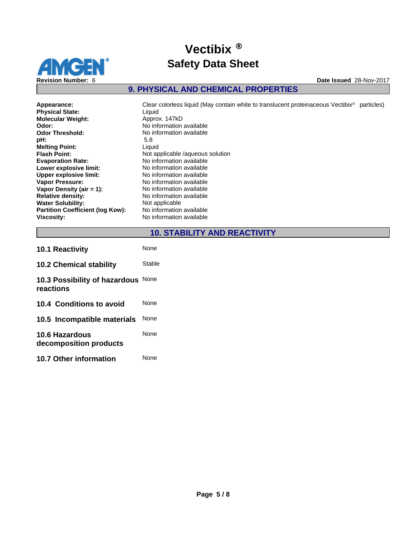

## **9. PHYSICAL AND CHEMICAL PROPERTIES**

| Appearance:                      | Clear colorless liquid (May contain white to translucent proteinaceous Vectibix <sup>®</sup> particles) |
|----------------------------------|---------------------------------------------------------------------------------------------------------|
| <b>Physical State:</b>           | Liquid                                                                                                  |
| <b>Molecular Weight:</b>         | Approx. 147kD                                                                                           |
| Odor:                            | No information available                                                                                |
| Odor Threshold:                  | No information available                                                                                |
| pH:                              | 5.8                                                                                                     |
| <b>Melting Point:</b>            | Liquid                                                                                                  |
| Flash Point:                     | Not applicable /aqueous solution                                                                        |
| <b>Evaporation Rate:</b>         | No information available                                                                                |
| Lower explosive limit:           | No information available                                                                                |
| <b>Upper explosive limit:</b>    | No information available                                                                                |
| Vapor Pressure:                  | No information available                                                                                |
| Vapor Density (air = 1):         | No information available                                                                                |
| <b>Relative density:</b>         | No information available                                                                                |
| <b>Water Solubility:</b>         | Not applicable                                                                                          |
| Partition Coefficient (log Kow): | No information available                                                                                |
| Viscosity:                       | No information available                                                                                |
|                                  |                                                                                                         |

**10. STABILITY AND REACTIVITY**

| <b>10.1 Reactivity</b>                          | <b>None</b> |
|-------------------------------------------------|-------------|
| <b>10.2 Chemical stability</b>                  | Stable      |
| 10.3 Possibility of hazardous None<br>reactions |             |
| 10.4 Conditions to avoid                        | <b>None</b> |
| 10.5 Incompatible materials                     | <b>None</b> |
| 10.6 Hazardous<br>decomposition products        | <b>None</b> |
| <b>10.7 Other information</b>                   | None        |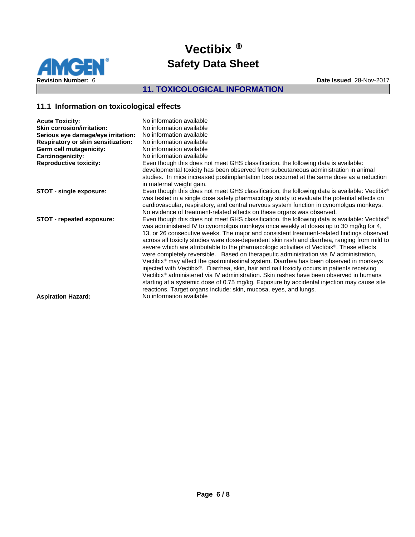

## **11. TOXICOLOGICAL INFORMATION**

### **11.1 Information on toxicological effects**

| <b>Acute Toxicity:</b>                    | No information available                                                                                              |
|-------------------------------------------|-----------------------------------------------------------------------------------------------------------------------|
| <b>Skin corrosion/irritation:</b>         | No information available                                                                                              |
| Serious eye damage/eye irritation:        | No information available                                                                                              |
| <b>Respiratory or skin sensitization:</b> | No information available                                                                                              |
| Germ cell mutagenicity:                   | No information available                                                                                              |
| Carcinogenicity:                          | No information available                                                                                              |
| <b>Reproductive toxicity:</b>             | Even though this does not meet GHS classification, the following data is available:                                   |
|                                           | developmental toxicity has been observed from subcutaneous administration in animal                                   |
|                                           | studies. In mice increased postimplantation loss occurred at the same dose as a reduction<br>in maternal weight gain. |
| STOT - single exposure:                   | Even though this does not meet GHS classification, the following data is available: Vectibix <sup>®</sup>             |
|                                           | was tested in a single dose safety pharmacology study to evaluate the potential effects on                            |
|                                           | cardiovascular, respiratory, and central nervous system function in cynomolgus monkeys.                               |
|                                           | No evidence of treatment-related effects on these organs was observed.                                                |
| STOT - repeated exposure:                 | Even though this does not meet GHS classification, the following data is available: Vectibix <sup>®</sup>             |
|                                           | was administered IV to cynomolgus monkeys once weekly at doses up to 30 mg/kg for 4,                                  |
|                                           | 13, or 26 consecutive weeks. The major and consistent treatment-related findings observed                             |
|                                           | across all toxicity studies were dose-dependent skin rash and diarrhea, ranging from mild to                          |
|                                           | severe which are attributable to the pharmacologic activities of Vectibix <sup>®</sup> . These effects                |
|                                           | were completely reversible. Based on the rapeutic administration via IV administration,                               |
|                                           | Vectibix® may affect the gastrointestinal system. Diarrhea has been observed in monkeys                               |
|                                           | injected with Vectibix <sup>®</sup> . Diarrhea, skin, hair and nail toxicity occurs in patients receiving             |
|                                           | Vectibix <sup>®</sup> administered via IV administration. Skin rashes have been observed in humans                    |
|                                           | starting at a systemic dose of 0.75 mg/kg. Exposure by accidental injection may cause site                            |
|                                           | reactions. Target organs include: skin, mucosa, eyes, and lungs.                                                      |
| <b>Aspiration Hazard:</b>                 | No information available                                                                                              |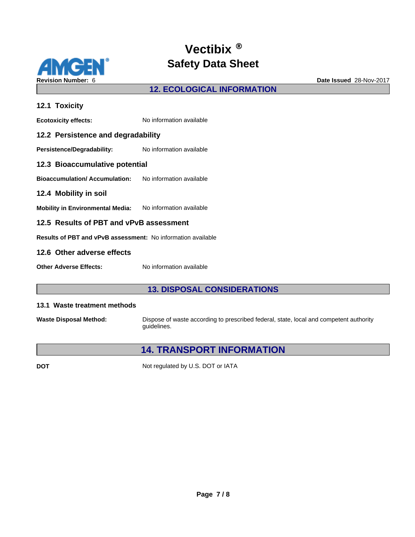

### **12. ECOLOGICAL INFORMATION**

## **12.1 Toxicity Ecotoxicity effects:** No information available **12.2 Persistence and degradability** Persistence/Degradability: No information available **12.3 Bioaccumulative potential Bioaccumulation/ Accumulation:** No information available **12.4 Mobility in soil Mobility in Environmental Media:** No information available **12.5 Results of PBT and vPvB assessment Results of PBT and vPvB assessment:** No information available **12.6 Other adverse effects Other Adverse Effects:** No information available

### **13. DISPOSAL CONSIDERATIONS**

#### **13.1 Waste treatment methods**

**Waste Disposal Method:** Dispose of waste according to prescribed federal, state, local and competent authority guidelines.

## **14. TRANSPORT INFORMATION**

**DOT** Not regulated by U.S. DOT or IATA